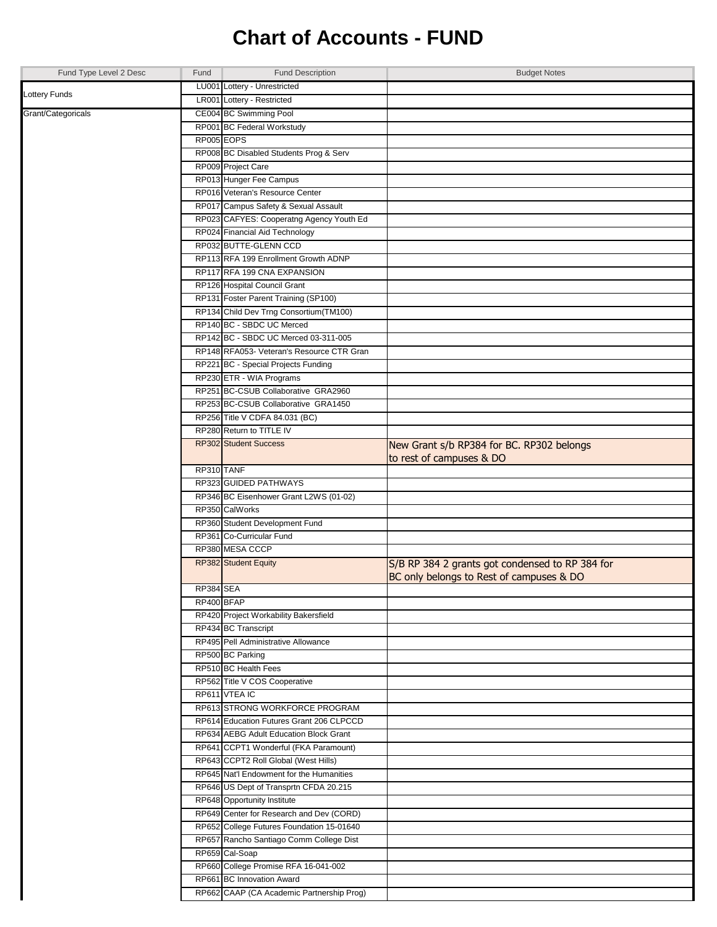## **Chart of Accounts - FUND**

| Fund Type Level 2 Desc | Fund       | <b>Fund Description</b>                   | <b>Budget Notes</b>                             |
|------------------------|------------|-------------------------------------------|-------------------------------------------------|
|                        |            | LU001 Lottery - Unrestricted              |                                                 |
| Lottery Funds          |            | LR001 Lottery - Restricted                |                                                 |
| Grant/Categoricals     |            | CE004 BC Swimming Pool                    |                                                 |
|                        |            | RP001 BC Federal Workstudy                |                                                 |
|                        | RP005 EOPS |                                           |                                                 |
|                        |            | RP008 BC Disabled Students Prog & Serv    |                                                 |
|                        |            | RP009 Project Care                        |                                                 |
|                        |            | RP013 Hunger Fee Campus                   |                                                 |
|                        |            | RP016 Veteran's Resource Center           |                                                 |
|                        |            | RP017 Campus Safety & Sexual Assault      |                                                 |
|                        |            | RP023 CAFYES: Cooperatng Agency Youth Ed  |                                                 |
|                        |            | RP024 Financial Aid Technology            |                                                 |
|                        |            | RP032 BUTTE-GLENN CCD                     |                                                 |
|                        |            | RP113 RFA 199 Enrollment Growth ADNP      |                                                 |
|                        |            | RP117 RFA 199 CNA EXPANSION               |                                                 |
|                        |            | RP126 Hospital Council Grant              |                                                 |
|                        |            | RP131 Foster Parent Training (SP100)      |                                                 |
|                        |            | RP134 Child Dev Trng Consortium(TM100)    |                                                 |
|                        |            | RP140 BC - SBDC UC Merced                 |                                                 |
|                        |            | RP142 BC - SBDC UC Merced 03-311-005      |                                                 |
|                        |            | RP148 RFA053- Veteran's Resource CTR Gran |                                                 |
|                        |            | RP221 BC - Special Projects Funding       |                                                 |
|                        |            | RP230 ETR - WIA Programs                  |                                                 |
|                        |            | RP251 BC-CSUB Collaborative GRA2960       |                                                 |
|                        |            | RP253 BC-CSUB Collaborative GRA1450       |                                                 |
|                        |            | RP256 Title V CDFA 84.031 (BC)            |                                                 |
|                        |            | RP280 Return to TITLE IV                  |                                                 |
|                        |            | <b>RP302</b> Student Success              | New Grant s/b RP384 for BC. RP302 belongs       |
|                        |            |                                           | to rest of campuses & DO                        |
|                        | RP310 TANF |                                           |                                                 |
|                        |            | RP323 GUIDED PATHWAYS                     |                                                 |
|                        |            | RP346 BC Eisenhower Grant L2WS (01-02)    |                                                 |
|                        |            | RP350 CalWorks                            |                                                 |
|                        |            | RP360 Student Development Fund            |                                                 |
|                        |            | RP361 Co-Curricular Fund                  |                                                 |
|                        |            | RP380 MESA CCCP                           |                                                 |
|                        |            | RP382 Student Equity                      | S/B RP 384 2 grants got condensed to RP 384 for |
|                        |            |                                           | BC only belongs to Rest of campuses & DO        |
|                        | RP384 SEA  |                                           |                                                 |
|                        | RP400 BFAP |                                           |                                                 |
|                        |            | RP420 Project Workability Bakersfield     |                                                 |
|                        |            | RP434 BC Transcript                       |                                                 |
|                        |            | RP495 Pell Administrative Allowance       |                                                 |
|                        |            | RP500 BC Parking                          |                                                 |
|                        |            | RP510 BC Health Fees                      |                                                 |
|                        |            | RP562 Title V COS Cooperative             |                                                 |
|                        |            | RP611 VTEA IC                             |                                                 |
|                        |            | RP613 STRONG WORKFORCE PROGRAM            |                                                 |
|                        |            | RP614 Education Futures Grant 206 CLPCCD  |                                                 |
|                        |            | RP634 AEBG Adult Education Block Grant    |                                                 |
|                        |            | RP641 CCPT1 Wonderful (FKA Paramount)     |                                                 |
|                        |            | RP643 CCPT2 Roll Global (West Hills)      |                                                 |
|                        |            | RP645 Nat'l Endowment for the Humanities  |                                                 |
|                        |            | RP646 US Dept of Transprtn CFDA 20.215    |                                                 |
|                        |            | RP648 Opportunity Institute               |                                                 |
|                        |            | RP649 Center for Research and Dev (CORD)  |                                                 |
|                        |            | RP652 College Futures Foundation 15-01640 |                                                 |
|                        |            | RP657 Rancho Santiago Comm College Dist   |                                                 |
|                        |            | RP659 Cal-Soap                            |                                                 |
|                        |            | RP660 College Promise RFA 16-041-002      |                                                 |
|                        |            | RP661 BC Innovation Award                 |                                                 |
|                        |            | RP662 CAAP (CA Academic Partnership Prog) |                                                 |
|                        |            |                                           |                                                 |